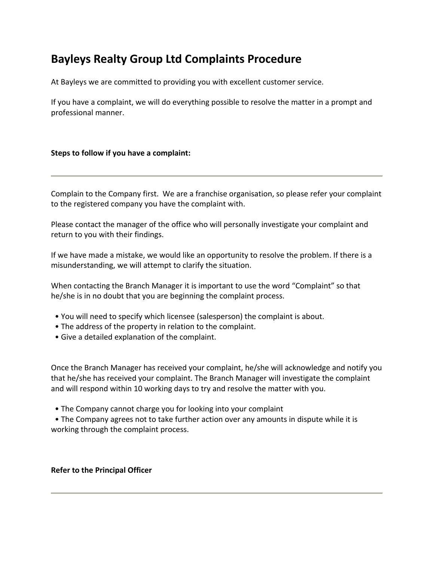# **Bayleys Realty Group Ltd Complaints Procedure**

At Bayleys we are committed to providing you with excellent customer service.

If you have a complaint, we will do everything possible to resolve the matter in a prompt and professional manner.

# **Steps to follow if you have a complaint:**

Complain to the Company first. We are a franchise organisation, so please refer your complaint to the registered company you have the complaint with.

Please contact the manager of the office who will personally investigate your complaint and return to you with their findings.

If we have made a mistake, we would like an opportunity to resolve the problem. If there is a misunderstanding, we will attempt to clarify the situation.

When contacting the Branch Manager it is important to use the word "Complaint" so that he/she is in no doubt that you are beginning the complaint process.

- You will need to specify which licensee (salesperson) the complaint is about.
- The address of the property in relation to the complaint.
- Give a detailed explanation of the complaint.

Once the Branch Manager has received your complaint, he/she will acknowledge and notify you that he/she has received your complaint. The Branch Manager will investigate the complaint and will respond within 10 working days to try and resolve the matter with you.

• The Company cannot charge you for looking into your complaint

 • The Company agrees not to take further action over any amounts in dispute while it is working through the complaint process.

### **Refer to the Principal Officer**